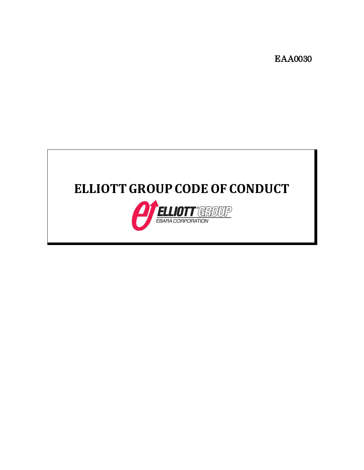EAA0030

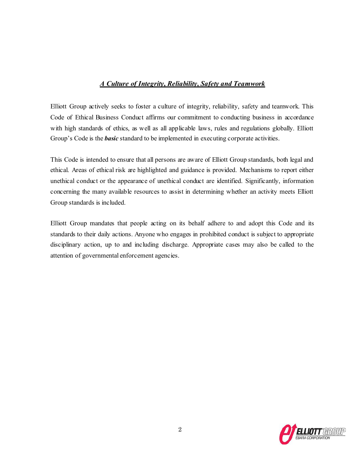# *A Culture of Integrity, Reliability, Safety and Teamwork*

Elliott Group actively seeks to foster a culture of integrity, reliability, safety and teamwork. This Code of Ethical Business Conduct affirms our commitment to conducting business in accordance with high standards of ethics, as well as all applicable laws, rules and regulations globally. Elliott Group's Code is the *basic* standard to be implemented in executing corporate activities.

This Code is intended to ensure that all persons are aware of Elliott Group standards, both legal and ethical. Areas of ethical risk are highlighted and guidance is provided. Mechanisms to report either unethical conduct or the appearance of unethical conduct are identified. Significantly, information concerning the many available resources to assist in determining whether an activity meets Elliott Group standards is included.

Elliott Group mandates that people acting on its behalf adhere to and adopt this Code and its standards to their daily actions. Anyone who engages in prohibited conduct is subject to appropriate disciplinary action, up to and including discharge. Appropriate cases may also be called to the attention of governmental enforcement agencies.

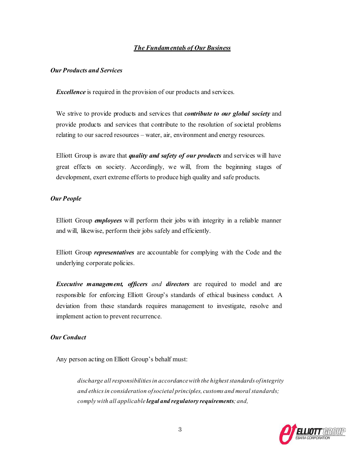# *The Fundamentals of Our Business*

# *Our Products and Services*

*Excellence* is required in the provision of our products and services.

We strive to provide products and services that *contribute to our global society* and provide products and services that contribute to the resolution of societal problems relating to our sacred resources – water, air, environment and energy resources.

Elliott Group is aware that *quality and safety of our products* and services will have great effects on society. Accordingly, we will, from the beginning stages of development, exert extreme efforts to produce high quality and safe products.

## *Our People*

Elliott Group *employees* will perform their jobs with integrity in a reliable manner and will, likewise, perform their jobs safely and efficiently.

Elliott Group *representatives* are accountable for complying with the Code and the underlying corporate policies.

*Executive management, officers and directors* are required to model and are responsible for enforcing Elliott Group's standards of ethical business conduct. A deviation from these standards requires management to investigate, resolve and implement action to prevent recurrence.

# *Our Conduct*

Any person acting on Elliott Group's behalf must:

*discharge allresponsibilitiesin accordancewith the higheststandards ofintegrity and ethics in consideration of societal principles, customs and moral standards; comply with all applicable legal and regulatory requirements; and,*

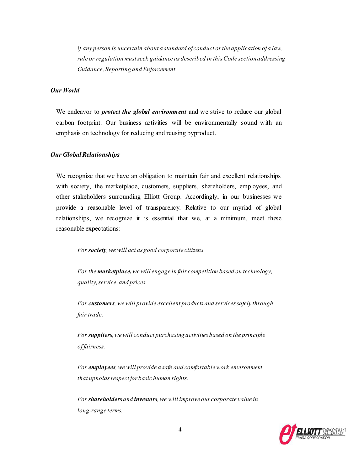*if any person is uncertain about a standard of conduct or the application of a law, rule or regulation mustseek guidance as described in thisCode sectionaddressing Guidance, Reporting and Enforcement*

# *Our World*

We endeavor to *protect the global environment* and we strive to reduce our global carbon footprint. Our business activities will be environmentally sound with an emphasis on technology for reducing and reusing byproduct.

### **Our Global Relationships**

We recognize that we have an obligation to maintain fair and excellent relationships with society, the marketplace, customers, suppliers, shareholders, employees, and other stakeholders surrounding Elliott Group. Accordingly, in our businesses we provide a reasonable level of transparency. Relative to our myriad of global relationships, we recognize it is essential that we, at a minimum, meet these reasonable expectations:

*For society,we will act as good corporate citizens.*

*For the marketplace,we will engage in fair competition based on technology, quality, service, and prices.*

*For customers, we will provide excellent products and servicessafely through fair trade.*

*For suppliers,we will conduct purchasing activities based on the principle of fairness.*

*For employees,we will provide a safe and comfortable work environment that upholds respect for basic human rights.*

*For shareholders and investors,we will improve our corporate value in long-range terms.*

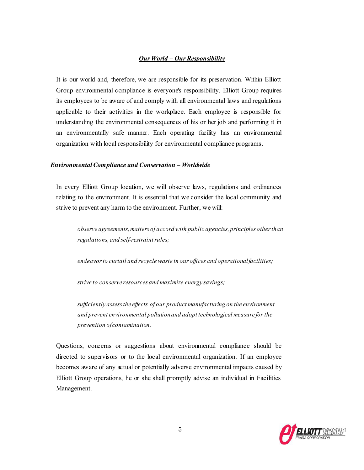# *Our World – Our Responsibility*

It is our world and, therefore, we are responsible for its preservation. Within Elliott Group environmental compliance is everyone's responsibility. Elliott Group requires its employees to be aware of and comply with all environmental laws and regulations applicable to their activities in the workplace. Each employee is responsible for understanding the environmental consequences of his or her job and performing it in an environmentally safe manner. Each operating facility has an environmental organization with local responsibility for environmental compliance programs.

### *Environmental Compliance and Conservation – Worldwide*

In every Elliott Group location, we will observe laws, regulations and ordinances relating to the environment. It is essential that we consider the local community and strive to prevent any harm to the environment. Further, we will:

*observe agreements,matters of accord with public agencies, principles otherthan regulations, and self-restraint rules;*

*endeavorto curtail and recycle waste in our offices and operationalfacilities;* 

*strive to conserve resources and maximize energy savings;*

*sufficiently assessthe effects of our product manufacturing on the environment and prevent environmental pollution and adopt technological measure for the prevention of contamination.*

Questions, concerns or suggestions about environmental compliance should be directed to supervisors or to the local environmental organization. If an employee becomes aware of any actual or potentially adverse environmental impacts caused by Elliott Group operations, he or she shall promptly advise an individual in Facilities Management.

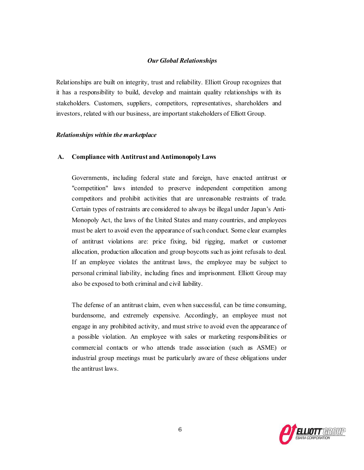## *Our Global Relationships*

Relationships are built on integrity, trust and reliability. Elliott Group recognizes that it has a responsibility to build, develop and maintain quality relationships with its stakeholders. Customers, suppliers, competitors, representatives, shareholders and investors, related with our business, are important stakeholders of Elliott Group.

### *Relationships within the marketplace*

## **A. Compliance with Antitrust and AntimonopolyLaws**

Governments, including federal state and foreign, have enacted antitrust or "competition" laws intended to preserve independent competition among competitors and prohibit activities that are unreasonable restraints of trade. Certain types of restraints are considered to always be illegal under Japan's Anti-Monopoly Act, the laws of the United States and many countries, and employees must be alert to avoid even the appearance of such conduct. Some clear examples of antitrust violations are: price fixing, bid rigging, market or customer allocation, production allocation and group boycotts such as joint refusals to deal. If an employee violates the antitrust laws, the employee may be subject to personal criminal liability, including fines and imprisonment. Elliott Group may also be exposed to both criminal and civil liability.

The defense of an antitrust claim, even when successful, can be time consuming, burdensome, and extremely expensive. Accordingly, an employee must not engage in any prohibited activity, and must strive to avoid even the appearance of a possible violation. An employee with sales or marketing responsibilities or commercial contacts or who attends trade association (such as ASME) or industrial group meetings must be particularly aware of these obligations under the antitrust laws.

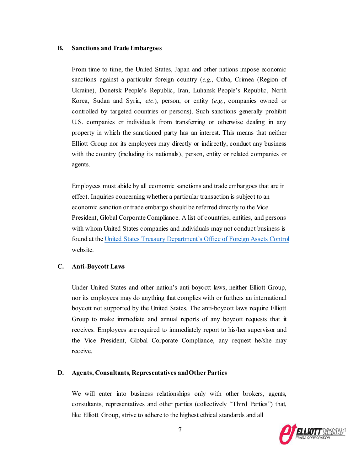#### **B. Sanctions and Trade Embargoes**

From time to time, the United States, Japan and other nations impose economic sanctions against a particular foreign country (*e.g*., Cuba, Crimea (Region of Ukraine), Donetsk People's Republic, Iran, Luhansk People's Republic, North Korea, Sudan and Syria, *etc.*), person, or entity (*e.g.*, companies owned or controlled by targeted countries or persons). Such sanctions generally prohibit U.S. companies or individuals from transferring or otherwise dealing in any property in which the sanctioned party has an interest. This means that neither Elliott Group nor its employees may directly or indirectly, conduct any business with the country (including its nationals), person, entity or related companies or agents.

Employees must abide by all economic sanctions and trade embargoes that are in effect. Inquiries concerning whether a particular transaction is subject to an economic sanction or trade embargo should be referred directly to the Vice President, Global Corporate Compliance. A list of countries, entities, and persons with whom United States companies and individuals may not conduct business is found at the United States Treasury Department's [Office of Foreign Assets Control](https://home.treasury.gov/policy-issues/office-of-foreign-assets-control-sanctions-programs-and-information) website.

### **C. Anti-Boycott Laws**

Under United States and other nation's anti-boycott laws, neither Elliott Group, nor its employees may do anything that complies with or furthers an international boycott not supported by the United States. The anti-boycott laws require Elliott Group to make immediate and annual reports of any boycott requests that it receives. Employees are required to immediately report to his/her supervisor and the Vice President, Global Corporate Compliance, any request he/she may receive.

### **D. Agents, Consultants, Representatives andOtherParties**

We will enter into business relationships only with other brokers, agents, consultants, representatives and other parties (collectively "Third Parties") that, like Elliott Group, strive to adhere to the highest ethical standards and all

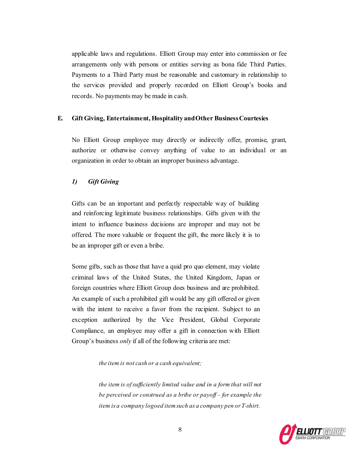applicable laws and regulations. Elliott Group may enter into commission or fee arrangements only with persons or entities serving as bona fide Third Parties. Payments to a Third Party must be reasonable and customary in relationship to the services provided and properly recorded on Elliott Group's books and records. No payments may be made in cash.

# **E. Gift Giving, Entertainment, Hospitality andOther BusinessCourtesies**

No Elliott Group employee may directly or indirectly offer, promise, grant, authorize or otherwise convey anything of value to an individual or an organization in order to obtain an improper business advantage.

## *1) Gift Giving*

Gifts can be an important and perfectly respectable way of building and reinforcing legitimate business relationships. Gifts given with the intent to influence business decisions are improper and may not be offered. The more valuable or frequent the gift, the more likely it is to be an improper gift or even a bribe.

Some gifts, such as those that have a quid pro quo element, may violate criminal laws of the United States, the United Kingdom, Japan or foreign countries where Elliott Group does business and are prohibited. An example of such a prohibited gift would be any gift offered or given with the intent to receive a favor from the recipient. Subject to an exception authorized by the Vice President, Global Corporate Compliance, an employee may offer a gift in connection with Elliott Group's business *only* if all of the following criteria are met:

*the item is not cash or a cash equivalent;*

*the item is ofsufficiently limited value and in a form that will not be perceived or construed as a bribe or payoff – for example the item is a company logoed itemsuch as a company pen or T-shirt.*

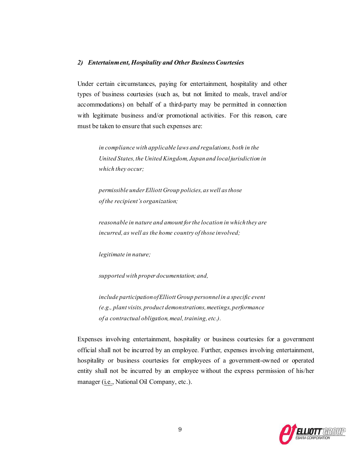### *2) Entertainment, Hospitality and Other BusinessCourtesies*

Under certain circumstances, paying for entertainment, hospitality and other types of business courtesies (such as, but not limited to meals, travel and/or accommodations) on behalf of a third-party may be permitted in connection with legitimate business and/or promotional activities. For this reason, care must be taken to ensure that such expenses are:

*in compliance with applicable laws and regulations, both in the United States,the United Kingdom, Japanand localjurisdiction in which they occur;*

*permissible underElliott Group policies, aswell asthose of the recipient's organization;*

*reasonable in nature and amount forthe location in whichthey are incurred, as well as the home country of those involved;*

*legitimate in nature;*

*supported with proper documentation; and,*

*include participationofElliott Group personnelin a specific event (e.g., plant visits, product demonstrations, meetings, performance of a contractual obligation, meal, training, etc.).*

Expenses involving entertainment, hospitality or business courtesies for a government official shall not be incurred by an employee. Further, expenses involving entertainment, hospitality or business courtesies for employees of a government-owned or operated entity shall not be incurred by an employee without the express permission of his/her manager (i.e., National Oil Company, etc.).

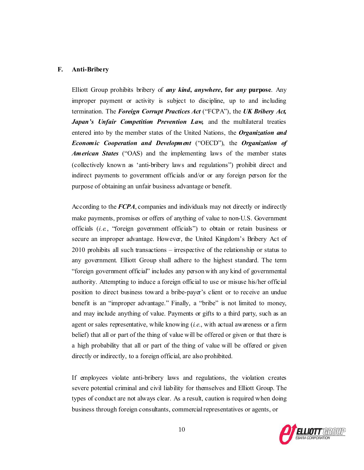# **F. Anti-Bribery**

Elliott Group prohibits bribery of *any kind***,** *anywhere***, for** *any* **purpose**. Any improper payment or activity is subject to discipline, up to and including termination. The *Foreign Corrupt Practices Act* ("FCPA"), the *UK Bribery Act,*  Japan's Unfair Competition Prevention Law, and the multilateral treaties entered into by the member states of the United Nations, the *Organization and Economic Cooperation and Development* ("OECD"), the *Organization of American States* ("OAS) and the implementing laws of the member states (collectively known as 'anti-bribery laws and regulations") prohibit direct and indirect payments to government officials and/or or any foreign person for the purpose of obtaining an unfair business advantage or benefit.

According to the *FCPA*, companies and individuals may not directly or indirectly make payments, promises or offers of anything of value to non-U.S. Government officials (*i.e.*, "foreign government officials") to obtain or retain business or secure an improper advantage. However, the United Kingdom's Bribery Act of 2010 prohibits all such transactions – irrespective of the relationship or status to any government. Elliott Group shall adhere to the highest standard. The term "foreign government official" includes any personwith any kind of governmental authority. Attempting to induce a foreign official to use or misuse his/her official position to direct business toward a bribe-payer's client or to receive an undue benefit is an "improper advantage." Finally, a "bribe" is not limited to money, and may include anything of value. Payments or gifts to a third party, such as an agent or sales representative, while knowing (*i.e.*, with actual awareness or a firm belief) that all or part of the thing of value will be offered or given or that there is a high probability that all or part of the thing of value will be offered or given directly or indirectly, to a foreign official, are also prohibited.

If employees violate anti-bribery laws and regulations, the violation creates severe potential criminal and civil liability for themselves and Elliott Group. The types of conduct are not always clear. As a result, caution is required when doing business through foreign consultants, commercial representatives or agents, or

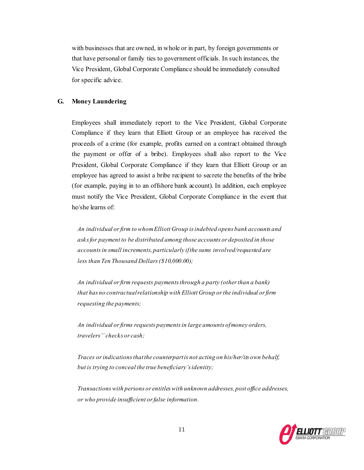with businesses that are owned, in whole or in part, by foreign governments or that have personal or family ties to government officials. In such instances, the Vice President, Global Corporate Compliance should be immediately consulted for specific advice.

## **G. Money Laundering**

Employees shall immediately report to the Vice President, Global Corporate Compliance if they learn that Elliott Group or an employee has received the proceeds of a crime (for example, profits earned on a contract obtained through the payment or offer of a bribe). Employees shall also report to the Vice President, Global Corporate Compliance if they learn that Elliott Group or an employee has agreed to assist a bribe recipient to secrete the benefits of the bribe (for example, paying in to an offshore bank account). In addition, each employee must notify the Vice President, Global Corporate Compliance in the event that he/she learns of:

*An individual orfirm to whomElliott Group isindebted opens bank accounts and asks for payment to be distributed among those accounts or deposited in those accounts in small increments, particularly if the sums involved/requested are less than Ten Thousand Dollars(\$10,000.00);*

*An individual or firm requests payments through a party (other than a bank) that has no contractualrelationship with Elliott Group orthe individual orfirm requesting the payments;*

*An individual orfirms requests paymentsin large amounts ofmoney orders, travelers'' checks or cash;*

*Traces orindicationsthatthe counterpartis not acting on his/her/its own behalf, but is trying to conceal the true beneficiary's identity;*

*Transactionswith persons or entitleswith unknown addresses, post office addresses, or who provide insufficient or false information.*

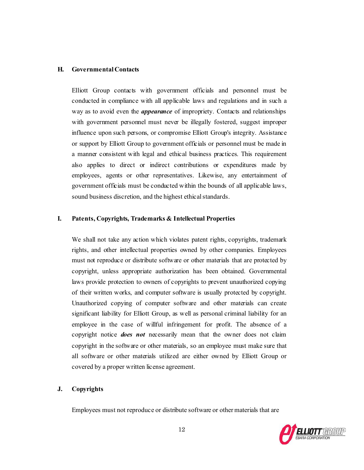## **H. Governmental Contacts**

Elliott Group contacts with government officials and personnel must be conducted in compliance with all applicable laws and regulations and in such a way as to avoid even the *appearance* of impropriety. Contacts and relationships with government personnel must never be illegally fostered, suggest improper influence upon such persons, or compromise Elliott Group's integrity. Assistance or support by Elliott Group to government officials or personnel must be made in a manner consistent with legal and ethical business practices. This requirement also applies to direct or indirect contributions or expenditures made by employees, agents or other representatives. Likewise, any entertainment of government officials must be conducted within the bounds of all applicable laws, sound business discretion, and the highest ethical standards.

# **I. Patents, Copyrights, Trademarks & Intellectual Properties**

We shall not take any action which violates patent rights, copyrights, trademark rights, and other intellectual properties owned by other companies. Employees must not reproduce or distribute software or other materials that are protected by copyright, unless appropriate authorization has been obtained. Governmental laws provide protection to owners of copyrights to prevent unauthorized copying of their written works, and computer software is usually protected by copyright. Unauthorized copying of computer software and other materials can create significant liability for Elliott Group, as well as personal criminal liability for an employee in the case of willful infringement for profit. The absence of a copyright notice *does not* necessarily mean that the owner does not claim copyright in the software or other materials, so an employee must make sure that all software or other materials utilized are either owned by Elliott Group or covered by a proper written license agreement.

### **J. Copyrights**

Employees must not reproduce or distribute software or other materials that are

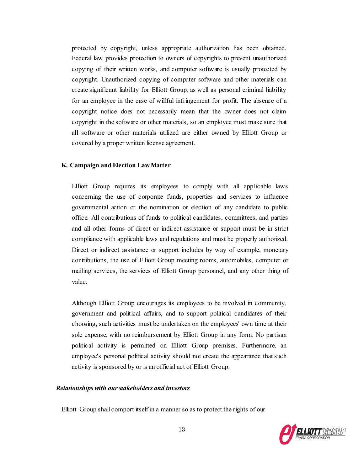protected by copyright, unless appropriate authorization has been obtained. Federal law provides protection to owners of copyrights to prevent unauthorized copying of their written works, and computer software is usually protected by copyright. Unauthorized copying of computer software and other materials can create significant liability for Elliott Group, as well as personal criminal liability for an employee in the case of willful infringement for profit. The absence of a copyright notice does not necessarily mean that the owner does not claim copyright in the software or other materials, so an employee must make sure that all software or other materials utilized are either owned by Elliott Group or covered by a proper written license agreement.

#### **K. Campaign andElection LawMatter**

Elliott Group requires its employees to comply with all applicable laws concerning the use of corporate funds, properties and services to influence governmental action or the nomination or election of any candidate to public office. All contributions of funds to political candidates, committees, and parties and all other forms of direct or indirect assistance or support must be in strict compliance with applicable laws and regulations and must be properly authorized. Direct or indirect assistance or support includes by way of example, monetary contributions, the use of Elliott Group meeting rooms, automobiles, computer or mailing services, the services of Elliott Group personnel, and any other thing of value.

Although Elliott Group encourages its employees to be involved in community, government and political affairs, and to support political candidates of their choosing, such activities must be undertaken on the employees' own time at their sole expense, with no reimbursement by Elliott Group in any form. No partisan political activity is permitted on Elliott Group premises. Furthermore, an employee's personal political activity should not create the appearance that such activity is sponsored by or is an official act of Elliott Group.

## *Relationships with ourstakeholders and investors*

Elliott Group shall comport itself in a manner so as to protect the rights of our

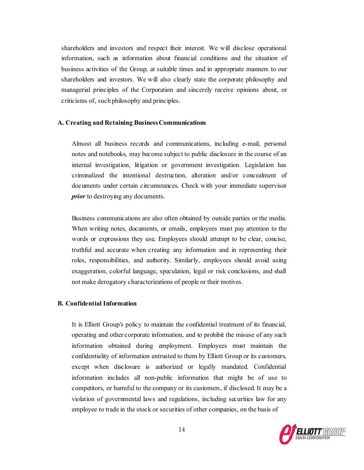shareholders and investors and respect their interest. We will disclose operational information, such as information about financial conditions and the situation of business activities of the Group, at suitable times and in appropriate manners to our shareholders and investors. We will also clearly state the corporate philosophy and managerial principles of the Corporation and sincerely receive opinions about, or criticisms of, such philosophy and principles.

### **A. Creating and Retaining BusinessCommunications**

Almost all business records and communications, including e-mail, personal notes and notebooks, may become subject to public disclosure in the course of an internal investigation, litigation or government investigation. Legislation has criminalized the intentional destruction, alteration and/or concealment of documents under certain circumstances. Check with your immediate supervisor *prior* to destroying any documents.

Business communications are also often obtained by outside parties or the media. When writing notes, documents, or emails, employees must pay attention to the words or expressions they use. Employees should attempt to be clear, concise, truthful and accurate when creating any information and in representing their roles, responsibilities, and authority. Similarly, employees should avoid using exaggeration, colorful language, speculation, legal or risk conclusions, and shall not make derogatory characterizations of people or their motives.

# **B. Confidential Information**

It is Elliott Group's policy to maintain the confidential treatment of its financial, operating and other corporate information, and to prohibit the misuse of any such information obtained during employment. Employees must maintain the confidentiality of information entrusted to them by Elliott Group or its customers, except when disclosure is authorized or legally mandated. Confidential information includes all non-public information that might be of use to competitors, or harmful to the company or its customers, if disclosed. It may be a violation of governmental laws and regulations, including securities law for any employee to trade in the stock or securities of other companies, on the basis of

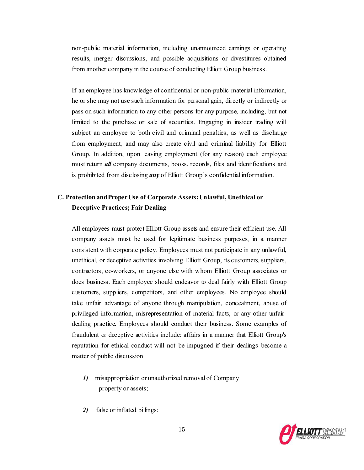non-public material information, including unannounced earnings or operating results, merger discussions, and possible acquisitions or divestitures obtained from another company in the course of conducting Elliott Group business.

If an employee has knowledge of confidential or non-public material information, he or she may not use such information for personal gain, directly or indirectly or pass on such information to any other persons for any purpose, including, but not limited to the purchase or sale of securities. Engaging in insider trading will subject an employee to both civil and criminal penalties, as well as discharge from employment, and may also create civil and criminal liability for Elliott Group. In addition, upon leaving employment (for any reason) each employee must return *all* company documents, books, records, files and identifications and is prohibited from disclosing *any* of Elliott Group's confidential information.

# **C. Protection andProperUse of Corporate Assets;Unlawful, Unethical or Deceptive Practices; Fair Dealing**

All employees must protect Elliott Group assets and ensure their efficient use. All company assets must be used for legitimate business purposes, in a manner consistent with corporate policy. Employees must not participate in any unlawful, unethical, or deceptive activities involving Elliott Group, its customers, suppliers, contractors, co-workers, or anyone else with whom Elliott Group associates or does business. Each employee should endeavor to deal fairly with Elliott Group customers, suppliers, competitors, and other employees. No employee should take unfair advantage of anyone through manipulation, concealment, abuse of privileged information, misrepresentation of material facts, or any other unfairdealing practice. Employees should conduct their business. Some examples of fraudulent or deceptive activities include: affairs in a manner that Elliott Group's reputation for ethical conduct will not be impugned if their dealings become a matter of public discussion

- *1)* misappropriation or unauthorized removal of Company property or assets;
- *2)* false or inflated billings;

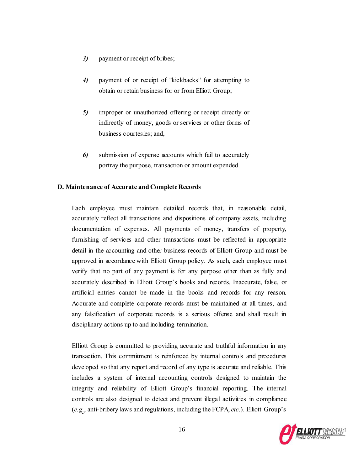- *3)* payment or receipt of bribes;
- *4)* payment of or receipt of "kickbacks" for attempting to obtain or retain business for or from Elliott Group;
- *5)* improper or unauthorized offering or receipt directly or indirectly of money, goods or services or other forms of business courtesies; and,
- *6)* submission of expense accounts which fail to accurately portray the purpose, transaction or amount expended.

### **D. Maintenance of Accurate and CompleteRecords**

Each employee must maintain detailed records that, in reasonable detail, accurately reflect all transactions and dispositions of company assets, including documentation of expenses. All payments of money, transfers of property, furnishing of services and other transactions must be reflected in appropriate detail in the accounting and other business records of Elliott Group and must be approved in accordance with Elliott Group policy. As such, each employee must verify that no part of any payment is for any purpose other than as fully and accurately described in Elliott Group's books and records. Inaccurate, false, or artificial entries cannot be made in the books and records for any reason. Accurate and complete corporate records must be maintained at all times, and any falsification of corporate records is a serious offense and shall result in disciplinary actions up to and including termination.

Elliott Group is committed to providing accurate and truthful information in any transaction. This commitment is reinforced by internal controls and procedures developed so that any report and record of any type is accurate and reliable. This includes a system of internal accounting controls designed to maintain the integrity and reliability of Elliott Group's financial reporting. The internal controls are also designed to detect and prevent illegal activities in compliance (*e.g*., anti-bribery laws and regulations, including the FCPA, *etc*.). Elliott Group's

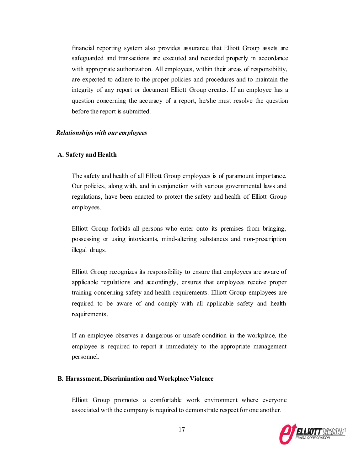financial reporting system also provides assurance that Elliott Group assets are safeguarded and transactions are executed and recorded properly in accordance with appropriate authorization. All employees, within their areas of responsibility, are expected to adhere to the proper policies and procedures and to maintain the integrity of any report or document Elliott Group creates. If an employee has a question concerning the accuracy of a report, he/she must resolve the question before the report is submitted.

### *Relationships with our employees*

### **A. Safety and Health**

The safety and health of all Elliott Group employees is of paramount importance. Our policies, along with, and in conjunction with various governmental laws and regulations, have been enacted to protect the safety and health of Elliott Group employees.

Elliott Group forbids all persons who enter onto its premises from bringing, possessing or using intoxicants, mind-altering substances and non-prescription illegal drugs.

Elliott Group recognizes its responsibility to ensure that employees are aware of applicable regulations and accordingly, ensures that employees receive proper training concerning safety and health requirements. Elliott Group employees are required to be aware of and comply with all applicable safety and health requirements.

If an employee observes a dangerous or unsafe condition in the workplace, the employee is required to report it immediately to the appropriate management personnel.

### **B. Harassment, Discrimination andWorkplaceViolence**

Elliott Group promotes a comfortable work environment where everyone associated with the company is required to demonstrate respect for one another.

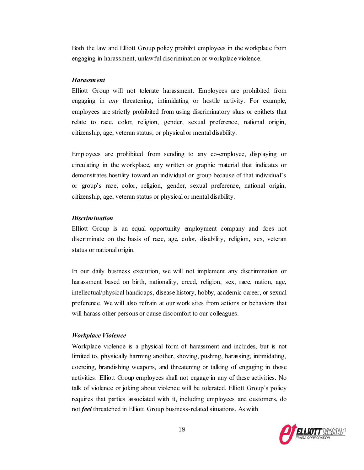Both the law and Elliott Group policy prohibit employees in the workplace from engaging in harassment, unlawful discrimination or workplace violence.

## *Harassment*

Elliott Group will not tolerate harassment. Employees are prohibited from engaging in *any* threatening, intimidating or hostile activity. For example, employees are strictly prohibited from using discriminatory slurs or epithets that relate to race, color, religion, gender, sexual preference, national origin, citizenship, age, veteran status, or physical or mental disability.

Employees are prohibited from sending to any co-employee, displaying or circulating in the workplace, any written or graphic material that indicates or demonstrates hostility toward an individual or group because of that individual's or group's race, color, religion, gender, sexual preference, national origin, citizenship, age, veteran status or physical or mental disability.

# *Discrimination*

Elliott Group is an equal opportunity employment company and does not discriminate on the basis of race, age, color, disability, religion, sex, veteran status or national origin.

In our daily business execution, we will not implement any discrimination or harassment based on birth, nationality, creed, religion, sex, race, nation, age, intellectual/physical handicaps, disease history, hobby, academic career, or sexual preference. We will also refrain at our work sites from actions or behaviors that will harass other persons or cause discomfort to our colleagues.

#### *Workplace Violence*

Workplace violence is a physical form of harassment and includes, but is not limited to, physically harming another, shoving, pushing, harassing, intimidating, coercing, brandishing weapons, and threatening or talking of engaging in those activities. Elliott Group employees shall not engage in any of these activities. No talk of violence or joking about violence will be tolerated. Elliott Group's policy requires that parties associated with it, including employees and customers, do not *feel* threatened in Elliott Group business-related situations. As with

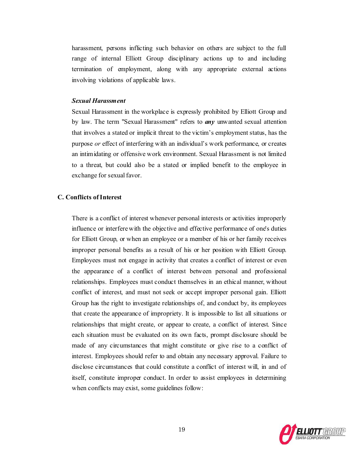harassment, persons inflicting such behavior on others are subject to the full range of internal Elliott Group disciplinary actions up to and including termination of employment, along with any appropriate external actions involving violations of applicable laws.

## *Sexual Harassment*

Sexual Harassment in the workplace is expressly prohibited by Elliott Group and by law. The term "Sexual Harassment" refers to *any* unwanted sexual attention that involves a stated or implicit threat to the victim's employment status, has the purpose *or* effect of interfering with an individual's work performance, or creates an intimidating or offensive work environment. Sexual Harassment is not limited to a threat, but could also be a stated or implied benefit to the employee in exchange for sexual favor.

### **C. Conflicts ofInterest**

There is a conflict of interest whenever personal interests or activities improperly influence or interfere with the objective and effective performance of one's duties for Elliott Group, or when an employee or a member of his or her family receives improper personal benefits as a result of his or her position with Elliott Group. Employees must not engage in activity that creates a conflict of interest or even the appearance of a conflict of interest between personal and professional relationships. Employees must conduct themselves in an ethical manner, without conflict of interest, and must not seek or accept improper personal gain. Elliott Group has the right to investigate relationships of, and conduct by, its employees that create the appearance of impropriety. It is impossible to list all situations or relationships that might create, or appear to create, a conflict of interest. Since each situation must be evaluated on its own facts, prompt disclosure should be made of any circumstances that might constitute or give rise to a conflict of interest. Employees should refer to and obtain any necessary approval. Failure to disclose circumstances that could constitute a conflict of interest will, in and of itself, constitute improper conduct. In order to assist employees in determining when conflicts may exist, some guidelines follow:

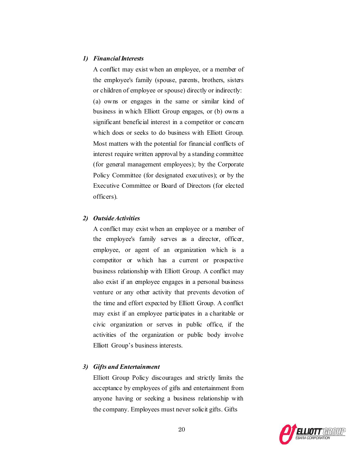### 1) *Financial Interests*

A conflict may exist when an employee, or a member of the employee's family (spouse, parents, brothers, sisters or children of employee or spouse) directly or indirectly: (a) owns or engages in the same or similar kind of business in which Elliott Group engages, or (b) owns a significant beneficial interest in a competitor or concern which does or seeks to do business with Elliott Group. Most matters with the potential for financial conflicts of interest require written approval by a standing committee (for general management employees); by the Corporate Policy Committee (for designated executives); or by the Executive Committee or Board of Directors (for elected officers).

## *2) OutsideActivities*

A conflict may exist when an employee or a member of the employee's family serves as a director, officer, employee, or agent of an organization which is a competitor or which has a current or prospective business relationship with Elliott Group. A conflict may also exist if an employee engages in a personal business venture or any other activity that prevents devotion of the time and effort expected by Elliott Group. A conflict may exist if an employee participates in a charitable or civic organization or serves in public office, if the activities of the organization or public body involve Elliott Group's business interests.

## *3) Gifts and Entertainment*

Elliott Group Policy discourages and strictly limits the acceptance by employees of gifts and entertainment from anyone having or seeking a business relationship with the company. Employees must never solicit gifts. Gifts

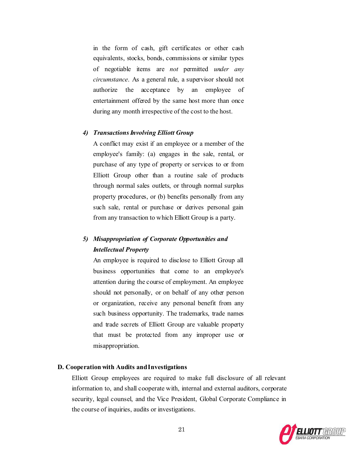in the form of cash, gift certificates or other cash equivalents, stocks, bonds, commissions or similar types of negotiable items are *not* permitted *under any circumstance*. As a general rule, a supervisor should not authorize the acceptance by an employee of entertainment offered by the same host more than once during any month irrespective of the cost to the host.

### *4) TransactionsInvolving Elliott Group*

A conflict may exist if an employee or a member of the employee's family: (a) engages in the sale, rental, or purchase of any type of property or services to or from Elliott Group other than a routine sale of products through normal sales outlets, or through normal surplus property procedures, or (b) benefits personally from any such sale, rental or purchase or derives personal gain from any transaction to which Elliott Group is a party.

# *5) Misappropriation of Corporate Opportunities and Intellectual Property*

An employee is required to disclose to Elliott Group all business opportunities that come to an employee's attention during the course of employment. An employee should not personally, or on behalf of any other person or organization, receive any personal benefit from any such business opportunity. The trademarks, trade names and trade secrets of Elliott Group are valuable property that must be protected from any improper use or misappropriation.

## **D. Cooperation with Audits andInvestigations**

Elliott Group employees are required to make full disclosure of all relevant information to, and shall cooperate with, internal and external auditors, corporate security, legal counsel, and the Vice President, Global Corporate Compliance in the course of inquiries, audits or investigations.

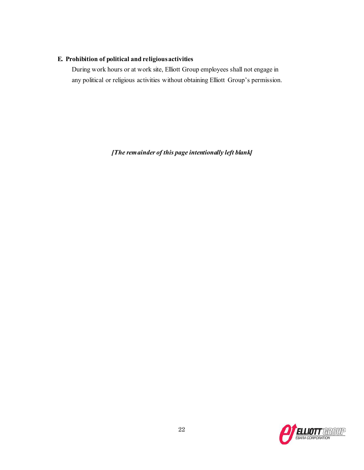# **E. Prohibition of political and religiousactivities**

During work hours or at work site, Elliott Group employees shall not engage in any political or religious activities without obtaining Elliott Group's permission.

*[The remainder of this page intentionally left blank]*

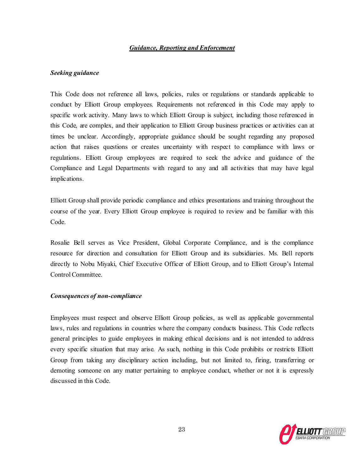## *Guidance, Reporting and Enforcement*

# *Seeking guidance*

This Code does not reference all laws, policies, rules or regulations or standards applicable to conduct by Elliott Group employees. Requirements not referenced in this Code may apply to specific work activity. Many laws to which Elliott Group is subject, including those referenced in this Code, are complex, and their application to Elliott Group business practices or activities can at times be unclear. Accordingly, appropriate guidance should be sought regarding any proposed action that raises questions or creates uncertainty with respect to compliance with laws or regulations. Elliott Group employees are required to seek the advice and guidance of the Compliance and Legal Departments with regard to any and all activities that may have legal implications.

Elliott Group shall provide periodic compliance and ethics presentations and training throughout the course of the year. Every Elliott Group employee is required to review and be familiar with this Code.

Rosalie Bell serves as Vice President, Global Corporate Compliance, and is the compliance resource for direction and consultation for Elliott Group and its subsidiaries. Ms. Bell reports directly to Nobu Miyaki, Chief Executive Officer of Elliott Group, and to Elliott Group's Internal Control Committee.

### *Consequences of non-compliance*

Employees must respect and observe Elliott Group policies, as well as applicable governmental laws, rules and regulations in countries where the company conducts business. This Code reflects general principles to guide employees in making ethical decisions and is not intended to address every specific situation that may arise. As such, nothing in this Code prohibits or restricts Elliott Group from taking any disciplinary action including, but not limited to, firing, transferring or demoting someone on any matter pertaining to employee conduct, whether or not it is expressly discussed in this Code.